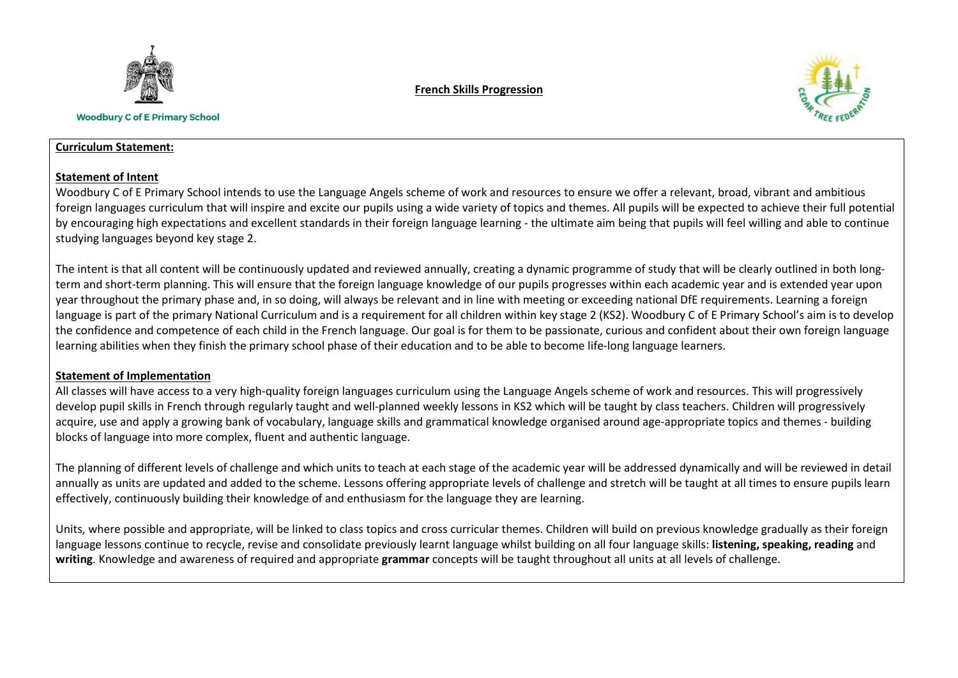

**Woodbury C of E Primary School** 

### French Skills Progression



#### Curriculum Statement:

### Statement of Intent

Woodbury C of E Primary School intends to use the Language Angels scheme of work and resources to ensure we offer a relevant, broad, vibrant and ambitious foreign languages curriculum that will inspire and excite our pupils using a wide variety of topics and themes. All pupils will be expected to achieve their full potential by encouraging high expectations and excellent standards in their foreign language learning - the ultimate aim being that pupils will feel willing and able to continue studying languages beyond key stage 2.

The intent is that all content will be continuously updated and reviewed annually, creating a dynamic programme of study that will be clearly outlined in both longterm and short-term planning. This will ensure that the foreign language knowledge of our pupils progresses within each academic year and is extended year upon year throughout the primary phase and, in so doing, will always be relevant and in line with meeting or exceeding national DfE requirements. Learning a foreign language is part of the primary National Curriculum and is a requirement for all children within key stage 2 (KS2). Woodbury C of E Primary School's aim is to develop the confidence and competence of each child in the French language. Our goal is for them to be passionate, curious and confident about their own foreign language learning abilities when they finish the primary school phase of their education and to be able to become life-long language learners.

## Statement of Implementation

All classes will have access to a very high-quality foreign languages curriculum using the Language Angels scheme of work and resources. This will progressively develop pupil skills in French through regularly taught and well-planned weekly lessons in KS2 which will be taught by class teachers. Children will progressively acquire, use and apply a growing bank of vocabulary, language skills and grammatical knowledge organised around age-appropriate topics and themes - building blocks of language into more complex, fluent and authentic language.

The planning of different levels of challenge and which units to teach at each stage of the academic year will be addressed dynamically and will be reviewed in detail annually as units are updated and added to the scheme. Lessons offering appropriate levels of challenge and stretch will be taught at all times to ensure pupils learn effectively, continuously building their knowledge of and enthusiasm for the language they are learning.

Units, where possible and appropriate, will be linked to class topics and cross curricular themes. Children will build on previous knowledge gradually as their foreign language lessons continue to recycle, revise and consolidate previously learnt language whilst building on all four language skills: listening, speaking, reading and writing. Knowledge and awareness of required and appropriate grammar concepts will be taught throughout all units at all levels of challenge.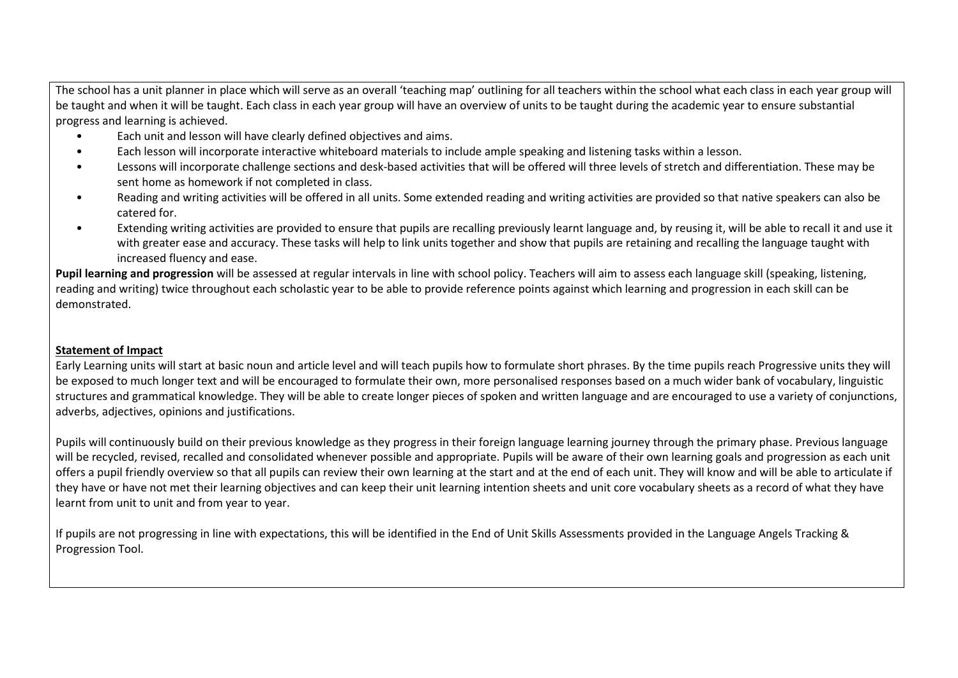The school has a unit planner in place which will serve as an overall 'teaching map' outlining for all teachers within the school what each class in each year group will be taught and when it will be taught. Each class in each year group will have an overview of units to be taught during the academic year to ensure substantial progress and learning is achieved.

- Each unit and lesson will have clearly defined objectives and aims.
- Each lesson will incorporate interactive whiteboard materials to include ample speaking and listening tasks within a lesson.
- Lessons will incorporate challenge sections and desk-based activities that will be offered will three levels of stretch and differentiation. These may be sent home as homework if not completed in class.
- Reading and writing activities will be offered in all units. Some extended reading and writing activities are provided so that native speakers can also be catered for.
- Extending writing activities are provided to ensure that pupils are recalling previously learnt language and, by reusing it, will be able to recall it and use it with greater ease and accuracy. These tasks will help to link units together and show that pupils are retaining and recalling the language taught with increased fluency and ease.

Pupil learning and progression will be assessed at regular intervals in line with school policy. Teachers will aim to assess each language skill (speaking, listening, reading and writing) twice throughout each scholastic year to be able to provide reference points against which learning and progression in each skill can be demonstrated.

# Statement of Impact

Early Learning units will start at basic noun and article level and will teach pupils how to formulate short phrases. By the time pupils reach Progressive units they will be exposed to much longer text and will be encouraged to formulate their own, more personalised responses based on a much wider bank of vocabulary, linguistic structures and grammatical knowledge. They will be able to create longer pieces of spoken and written language and are encouraged to use a variety of conjunctions, adverbs, adjectives, opinions and justifications.

Pupils will continuously build on their previous knowledge as they progress in their foreign language learning journey through the primary phase. Previous language will be recycled, revised, recalled and consolidated whenever possible and appropriate. Pupils will be aware of their own learning goals and progression as each unit offers a pupil friendly overview so that all pupils can review their own learning at the start and at the end of each unit. They will know and will be able to articulate if they have or have not met their learning objectives and can keep their unit learning intention sheets and unit core vocabulary sheets as a record of what they have learnt from unit to unit and from year to year.

If pupils are not progressing in line with expectations, this will be identified in the End of Unit Skills Assessments provided in the Language Angels Tracking & Progression Tool.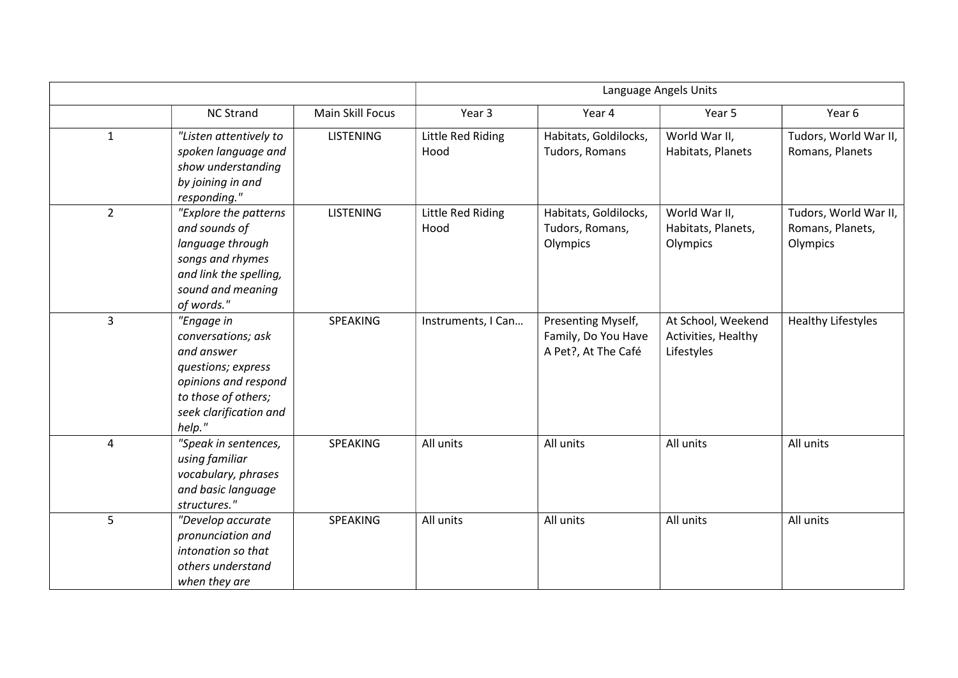|                |                                                                                                                                                         |                  | Language Angels Units            |                                                                  |                                                         |                                                       |
|----------------|---------------------------------------------------------------------------------------------------------------------------------------------------------|------------------|----------------------------------|------------------------------------------------------------------|---------------------------------------------------------|-------------------------------------------------------|
|                | <b>NC Strand</b>                                                                                                                                        | Main Skill Focus | Year 3                           | Year 4                                                           | Year 5                                                  | Year 6                                                |
| $\mathbf{1}$   | "Listen attentively to<br>spoken language and<br>show understanding<br>by joining in and<br>responding."                                                | <b>LISTENING</b> | <b>Little Red Riding</b><br>Hood | Habitats, Goldilocks,<br>Tudors, Romans                          | World War II,<br>Habitats, Planets                      | Tudors, World War II,<br>Romans, Planets              |
| $\overline{2}$ | "Explore the patterns<br>and sounds of<br>language through<br>songs and rhymes<br>and link the spelling,<br>sound and meaning<br>of words."             | <b>LISTENING</b> | Little Red Riding<br>Hood        | Habitats, Goldilocks,<br>Tudors, Romans,<br>Olympics             | World War II,<br>Habitats, Planets,<br>Olympics         | Tudors, World War II,<br>Romans, Planets,<br>Olympics |
| 3              | "Engage in<br>conversations; ask<br>and answer<br>questions; express<br>opinions and respond<br>to those of others;<br>seek clarification and<br>help." | SPEAKING         | Instruments, I Can               | Presenting Myself,<br>Family, Do You Have<br>A Pet?, At The Café | At School, Weekend<br>Activities, Healthy<br>Lifestyles | <b>Healthy Lifestyles</b>                             |
| 4              | "Speak in sentences,<br>using familiar<br>vocabulary, phrases<br>and basic language<br>structures."                                                     | SPEAKING         | All units                        | All units                                                        | All units                                               | All units                                             |
| 5              | "Develop accurate<br>pronunciation and<br>intonation so that<br>others understand<br>when they are                                                      | SPEAKING         | All units                        | All units                                                        | All units                                               | All units                                             |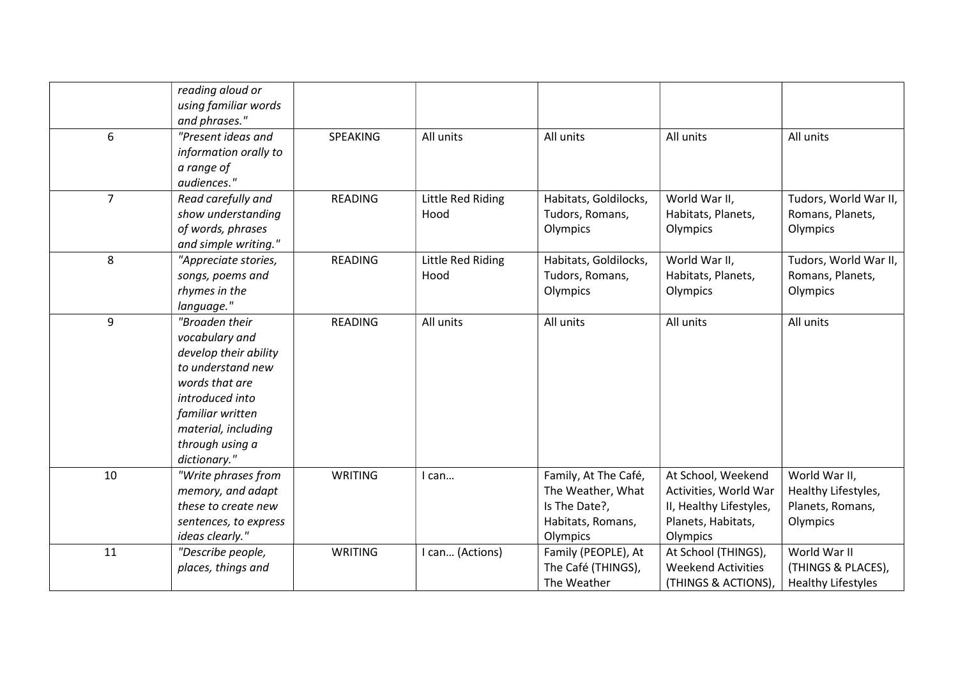|                | reading aloud or<br>using familiar words |                |                   |                       |                           |                           |
|----------------|------------------------------------------|----------------|-------------------|-----------------------|---------------------------|---------------------------|
|                | and phrases."                            |                |                   |                       |                           |                           |
| 6              | "Present ideas and                       | SPEAKING       | All units         | All units             | All units                 | All units                 |
|                | information orally to                    |                |                   |                       |                           |                           |
|                | a range of                               |                |                   |                       |                           |                           |
|                | audiences."                              |                |                   |                       |                           |                           |
| $\overline{7}$ | Read carefully and                       | <b>READING</b> | Little Red Riding | Habitats, Goldilocks, | World War II,             | Tudors, World War II,     |
|                | show understanding                       |                | Hood              | Tudors, Romans,       | Habitats, Planets,        | Romans, Planets,          |
|                | of words, phrases                        |                |                   | Olympics              | Olympics                  | Olympics                  |
|                | and simple writing."                     |                |                   |                       |                           |                           |
| 8              | "Appreciate stories,                     | <b>READING</b> | Little Red Riding | Habitats, Goldilocks, | World War II,             | Tudors, World War II,     |
|                | songs, poems and                         |                | Hood              | Tudors, Romans,       | Habitats, Planets,        | Romans, Planets,          |
|                | rhymes in the                            |                |                   | Olympics              | Olympics                  | Olympics                  |
|                | language."                               |                |                   |                       |                           |                           |
| 9              | "Broaden their                           | READING        | All units         | All units             | All units                 | All units                 |
|                | vocabulary and                           |                |                   |                       |                           |                           |
|                | develop their ability                    |                |                   |                       |                           |                           |
|                | to understand new                        |                |                   |                       |                           |                           |
|                | words that are                           |                |                   |                       |                           |                           |
|                | introduced into                          |                |                   |                       |                           |                           |
|                | familiar written                         |                |                   |                       |                           |                           |
|                | material, including                      |                |                   |                       |                           |                           |
|                | through using a                          |                |                   |                       |                           |                           |
|                | dictionary."                             |                |                   |                       |                           |                           |
| 10             | "Write phrases from                      | <b>WRITING</b> | I can             | Family, At The Café,  | At School, Weekend        | World War II,             |
|                | memory, and adapt                        |                |                   | The Weather, What     | Activities, World War     | Healthy Lifestyles,       |
|                | these to create new                      |                |                   | Is The Date?,         | II, Healthy Lifestyles,   | Planets, Romans,          |
|                | sentences, to express                    |                |                   | Habitats, Romans,     | Planets, Habitats,        | Olympics                  |
|                | ideas clearly."                          |                |                   | Olympics              | Olympics                  |                           |
| 11             | "Describe people,                        | WRITING        | I can (Actions)   | Family (PEOPLE), At   | At School (THINGS),       | World War II              |
|                | places, things and                       |                |                   | The Café (THINGS),    | <b>Weekend Activities</b> | (THINGS & PLACES),        |
|                |                                          |                |                   | The Weather           | (THINGS & ACTIONS),       | <b>Healthy Lifestyles</b> |